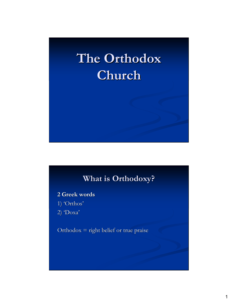# **The Orthodox Church**

## **What is Orthodoxy?**

**2 Greek words**

- 1) 'Orthos'
- 2) 'Doxa'

Orthodox = right belief or true praise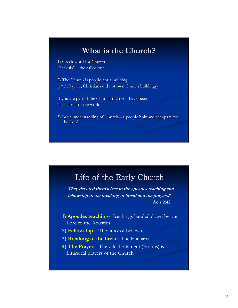#### **What is the Church?**

1) Greek word for Church  $'Ecclesia' =$  the called out

2) The Church is people not a building (1st 350 years, Christians did not own Church buildings)

If you are part of the Church, then you have been "called out of the world."

3) Basic understanding of Church – a people holy and set apart for the Lord

### Life of the Early Church

**"They devoted themselves to the apostles teaching and fellowship to the breaking of bread and the prayers." Acts 2:42**

- **1) Apostles teaching-** Teachings handed down by our Lord to the Apostles
- **2) Fellowship –** The unity of believers
- **3) Breaking of the bread-** The Eucharist
- **4) The Prayers-** The Old Testament (Psalms) & Liturgical prayers of the Church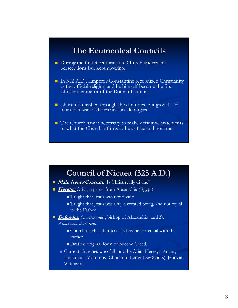### **The Ecumenical Councils**

- During the first 3 centuries the Church underwent persecutions but kept growing.
- In 312 A.D., Emperor Constantine recognized Christianity as the official religion and he himself became the first Christian emperor of the Roman Empire.
- Church flourished through the centuries, but growth led to an increase of differences in ideologies.
- $\blacksquare$  The Church saw it necessary to make definitive statements of what the Church affirms to be as true and not true.

#### **Council of Nicaea (325 A.D.)**

- **Main Issue/Concern:** Is Christ really divine?
- **Heretic:** Arius, a priest from Alexandria (Egypt)
	- Taught that Jesus was not divine
	- Taught that Jesus was only a created being, and not equal to the Father.
- *Defender: St. Alexander*, bishop of Alexandria, and *St. Athanasius the Great*.
	- Church teaches that Jesus is Divine, co-equal with the Father.
	- Drafted original form of Nicene Creed.
	- Current churches who fall into the Arian Heresy: Arians, Unitarians, Mormons (Church of Latter Day Saints), Jehovah Witnesses.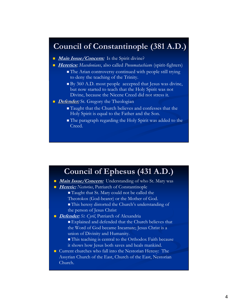### **Council of Constantinople (381 A.D.)**

- **Main Issue/Concern:** Is the Spirit divine?
- *Heretics: Macedonians*, also called *Pneumatachians* (spirit-fighters)
	- The Arian controversy continued with people still trying to deny the teaching of the Trinity.
	- $\blacksquare$  By 360 A.D. most people accepted that Jesus was divine, but now started to teach that the Holy Spirit was not Divine, because the Nicene Creed did not stress it.
- **Defender:** St. Gregory the Theologian
	- Taught that the Church believes and confesses that the Holy Spirit is equal to the Father and the Son.
	- The paragraph regarding the Holy Spirit was added to the Creed.